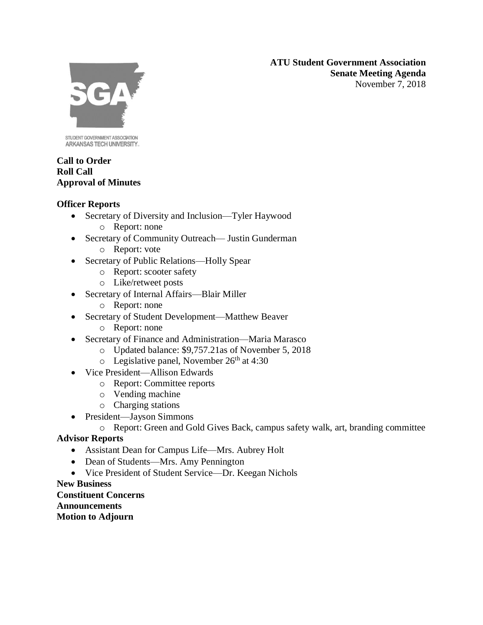**ATU Student Government Association Senate Meeting Agenda** November 7, 2018



STUDENT GOVERNMENT ASSOCIATION ARKANSAS TECH UNIVERSITY.

### **Call to Order Roll Call Approval of Minutes**

## **Officer Reports**

- Secretary of Diversity and Inclusion—Tyler Haywood
	- o Report: none
- Secretary of Community Outreach— Justin Gunderman
	- o Report: vote
- Secretary of Public Relations—Holly Spear
	- o Report: scooter safety
	- o Like/retweet posts
- Secretary of Internal Affairs—Blair Miller
	- o Report: none
- Secretary of Student Development—Matthew Beaver
	- o Report: none
- Secretary of Finance and Administration—Maria Marasco
	- o Updated balance: \$9,757.21as of November 5, 2018
	- $\circ$  Legislative panel, November 26<sup>th</sup> at 4:30
- Vice President—Allison Edwards
	- o Report: Committee reports
	- o Vending machine
	- o Charging stations
- President—Jayson Simmons
	- o Report: Green and Gold Gives Back, campus safety walk, art, branding committee

# **Advisor Reports**

- Assistant Dean for Campus Life—Mrs. Aubrey Holt
- Dean of Students—Mrs. Amy Pennington
- Vice President of Student Service—Dr. Keegan Nichols

## **New Business**

**Constituent Concerns Announcements Motion to Adjourn**